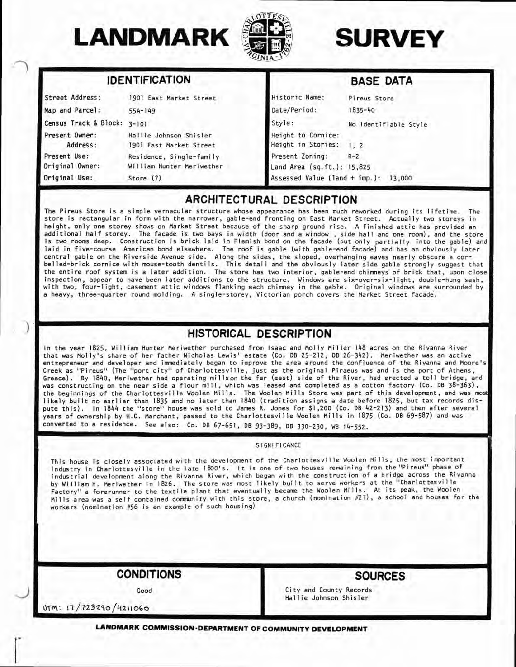

**IDENTIFICATION** 



 $B = B$ 

|                                 | <b>IDENTIFIUATION</b>                                 |                                               | <b>BASE UAIA</b>      |
|---------------------------------|-------------------------------------------------------|-----------------------------------------------|-----------------------|
| Street Address:                 | 1901 East Market Street                               | Historic Name:                                | Pireus Store          |
| Map and Parcel:                 | $55A-149$                                             | Date/Period:                                  | 1835-40               |
| Census Track & Block: 3-101     |                                                       | Style:                                        | No Identifiable Style |
| Present Owner:<br>Address:      | Hallie Johnson Shisler<br>1901 East Market Street     | Height to Cornice:<br>Height in Stories:      | 1.2                   |
| Present Use:<br>Original Owner: | Residence, Single-family<br>William Hunter Meriwether | Present Zoning:<br>Land Area (sq.ft.): 15,825 | $R-2$                 |
| Original Use:                   | Store $(7)$                                           | Assessed Value (land + imp.): 13,000          |                       |

# **ARCHITECTURAL DESCRIPTION**

The Pireus Store is a simple vernacular structure whose appearance has been much reworked during its lifetime. The store is rectangular in form with the narrower, gable-end fronting on East Market Street. Actually two storeys in height, only one storey shows on Market Street because of the sharp ground rise. A finished attic has provided an additional half storey. The facade is two bays in width (door and a window , side hall and one room), and the store is two rooms deep. Construction is brick laid in Flemish bond on the facade (but only partially into the gable) and laid in five-course American bond elsewhere. The roof is gable (with gable-end facade) and has an obviously later central gable on the Riverside Avenue side. Along the sides, the sloped, overhanging eaves nearly obscure a corbelled-brick cornice with mouse-tooth dentils. This detail and the obviously later side gable strongly suggest that the entire roof system is a later addition. The store has two interior, gable-end chimneys' of brick that, upon close inspection, appear to have been later additions to the structure. Windows are six-over-six-light, double-hung sash, with two, four-light, casement attic windows flanking each chimney in the gable. Original windows are surrounded by a heavy, three-quarter round molding. A single-storey, Victorian porch covers the Market Street facade.

# **HISTORICAL DESCRIPTION**

In the year 1825, William Hunter Meriwether purchased from Isaac and Molly Miller 148 acres on the Rivanna River that was Molly's share of her father Nicholas Lewis' estate (Co. DB 25-212, DB 26-3^12). Meriwether was an active entrepreneur and developer and immediately began to improve the area around the confluence of the Rivanna and Moore's Creek as "Pireus" (The "port city" of Charlottesville, just as the original Piraeus was and is the port of Athens, Greece). By ]8kO, Meriwether had operating millson the far (east) side of the River, had erected a tol l bridge, and was constructing on the near side a flour mill, which was leased and completed as a cotton factory (Co. DB 38-363), the beginnings of the Charlottesville Woolen Mills. The Woolen Mills Store was part of this development, and was most likely built no earlier than 1835 and no later than 1840 (tradition assigns a date before 1825, but tax records dispute this) . In 1844 the "store" house was sold to James R. Jones for \$1,200 (Co. DB 42-213) and then after several years of ownership by H.C. Marchant, passed to the Charlottesville Woolen Mills in 1875 (Co. DB 69-587) and was converted to a residence. See also: Co. DB 67-65I, DB 93-389, DB 330-230, WB 14-552.

**SIGNIFICANCE** 

This house is closely associated with the development of the Charlottesville Woolen Mills , the most important industry in Charlottesville in the late iSOO's. It is one of two houses remaining from the "Pireus" phase of industrial development along the Rivanna River, which began with the construction of a bridge across the Rivanna by William H. Meriwether in 1826. The store was most likely built to serve workers at the "Charlottesville Factory" a forerunner to the textile plant that eventually became the Woolen Mills. At its peak, the Woolen Mills area was a self contained community with this store, a church (nomination #21), a school and houses for the workers (nomination #56 is an example of such housing)

**CONDITIONS** 

**SOURCES** 

Good

City and County Records Hallie Johnson Shisler

 $Vm: 17/723290/4211060$ 

**LANDMARK COMMISSION-DEPARTMENT OF COMMUNITY DEVELOPMENT**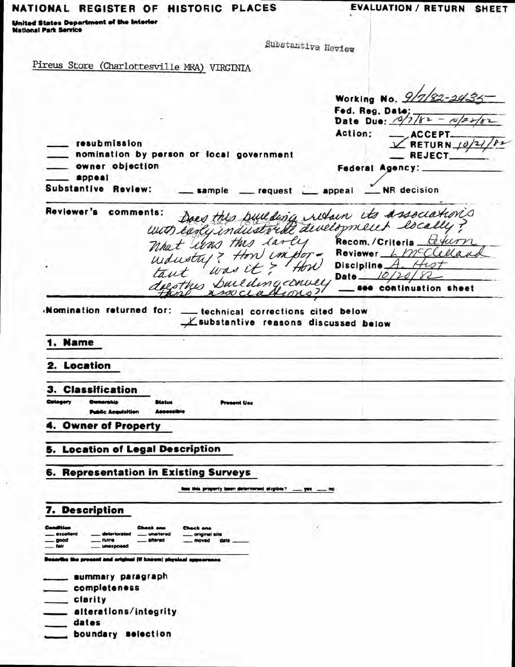### NATIONAL REGISTER OF HISTORIC PLACES

**EVALUATION / RETURN SHEET** 

United States Department of the Interior **National Park Service** 

Substantive Heview

Pireus Store (Charlottesville MRA) VIRGINIA

Working No. 9/7/82-2434 Fed. Reg. Date;<br>Date Due: 0/7/82 -**ACCEPT** Action: resubmission  $\angle$  RETURN 10 nomination by person or local government **REJECT** owner objection Federal Agency: . appeal Substantive Review: sample \_\_ request \_\_ appeal \_\_ NR decision nes: Does this building retain its associations Reviewer's comments: What was this larly Recom. / Criteria teturn understry ? How impor-Reviewer L McClellan Discipline  $A$ . Date  $10/20$ dees this building conver, see continuation sheet soucla Momination returned for: \_ technical corrections cited below Lsubstantive reasons discussed below 1. Name 2. Location 3. Classification prehio ent Use **Public Acquisition** 4. Owner of Property 5. Location of Legal Description 6. Representation in Existing Surveys is this property been determined eligible? 7. Description nuine **UNITED** a the prosent and original (if known) physical summary paragraph \_\_ completeness clarity . alterations/integrity dates boundary selection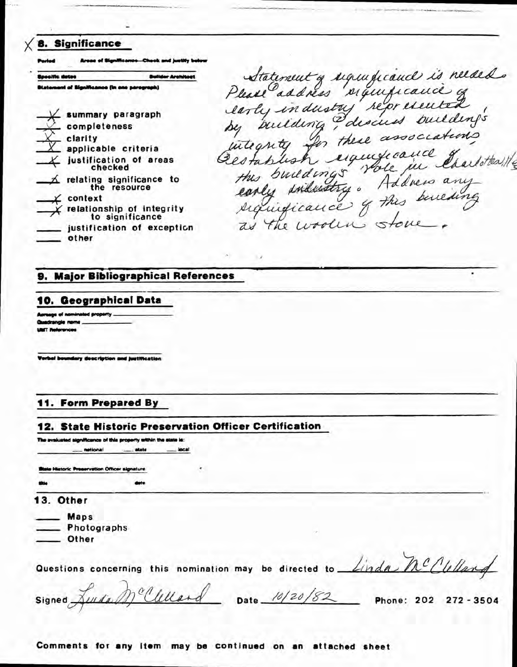| 8. Significance<br>Areae of Significance-Chook and justify below                                                                                                                                                                                                                                                    |                                                                                                                                                                                                                                          |
|---------------------------------------------------------------------------------------------------------------------------------------------------------------------------------------------------------------------------------------------------------------------------------------------------------------------|------------------------------------------------------------------------------------------------------------------------------------------------------------------------------------------------------------------------------------------|
| <b>Bullder Architect</b><br>loocific datos                                                                                                                                                                                                                                                                          |                                                                                                                                                                                                                                          |
| <b>Olatoment of Significance (in one persgraph)</b>                                                                                                                                                                                                                                                                 |                                                                                                                                                                                                                                          |
| $\angle$ summary paragraph<br>_ completeness<br>$\sim$ clarity<br>$X$ applicable criteria<br>$\angle$ justification of areas<br>checked<br>$\Delta$ relating significance to<br>the resource<br>$\chi$ context<br>$\chi$ relationship of integrity<br>to significance<br>__ justification of exception<br>$-$ other | Statement of ugundicand is needed.<br>Please address significance of<br>larly industry reforemented<br>integrity for these associations<br>Ocestablish significance d'autotes!<br>siquidicance of this benefing<br>as the wooling stone. |

### 9. Major Bibliographical References

#### 10. Geographical Data

uge of nominated property adrangle nome **LEAT References** 

Verbal boundary description and justification

#### 11. Form Prepared By

#### 12. State Historic Preservation Officer Certification

The avaluated significance of this property within the state is:

- netional ... etate local

**Blaie Historic Preservation Officer signature** 

13. Other

 $\equiv$  Maps Photographs

\_ Other

Questions concerning this nomination may be directed to Linda MC Culland

 $\zeta$ 

٠

mcclellard Date 10/20/82 Phone: 202 272-3504 Signed

Comments for any item may be continued on an attached sheet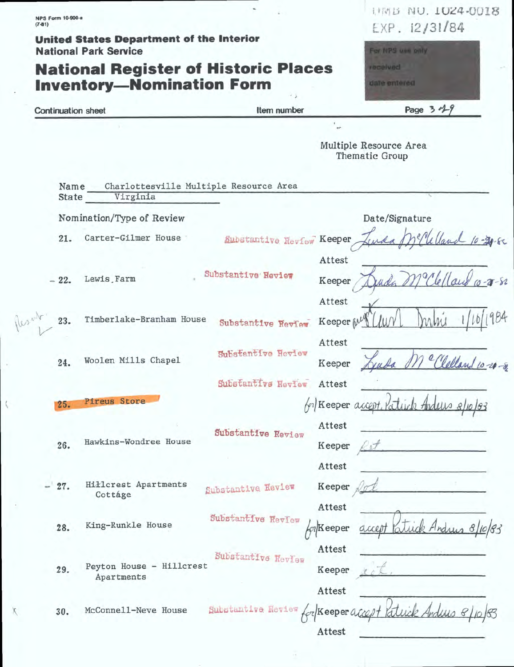| <b>NPS Form 10-900-a</b><br>$(7-81)$ |                                                                                 |                                 |                     | TIME HO. TOCH-OUIS<br>EXP. 12/31/84      |
|--------------------------------------|---------------------------------------------------------------------------------|---------------------------------|---------------------|------------------------------------------|
|                                      | <b>United States Department of the Interior</b><br><b>National Park Service</b> |                                 |                     | For NPS use only                         |
|                                      | <b>National Register of Historic Places</b>                                     |                                 |                     | <i>received</i>                          |
|                                      | <b>Inventory-Nomination Form</b>                                                |                                 |                     | date entered                             |
| <b>Continuation sheet</b>            |                                                                                 | Item number                     |                     | Page $3 - 49$                            |
|                                      |                                                                                 |                                 | $\mathcal{G}$ .     |                                          |
|                                      |                                                                                 |                                 |                     | Multiple Resource Area<br>Thematic Group |
| Name<br>State                        | Charlottesville Multiple Resource Area<br>Virginia                              |                                 |                     |                                          |
|                                      | Nomination/Type of Review                                                       |                                 |                     | Date/Signature                           |
| 21.                                  | Carter-Gilmer House                                                             | Substantive Review Keeper       |                     |                                          |
|                                      |                                                                                 |                                 | Attest              |                                          |
| $-22.$                               | Lewis Farm                                                                      | Substantive Review              | Keeper              |                                          |
|                                      |                                                                                 |                                 | Attest              |                                          |
| 23.                                  | Timberlake-Branham House                                                        | Substantive Review              | Keeper <sub>0</sub> |                                          |
|                                      |                                                                                 | Substantive Review              | Attest              |                                          |
| 24.                                  | Woolen Mills Chapel                                                             |                                 | Keeper              |                                          |
|                                      |                                                                                 | Substantive Review              | Attest              |                                          |
| 25.                                  | Pireus Store                                                                    |                                 | for Keeper accept.  | ick Anduns                               |
|                                      |                                                                                 | Substantive Review              | Attest              |                                          |
| 26.                                  | Hawkins-Wondree House                                                           |                                 | Keeper              |                                          |
|                                      |                                                                                 |                                 | Attest              |                                          |
| 27.                                  | Hillcrest Apartments<br>Cottáge                                                 | Substantive Review              | Keeper              |                                          |
|                                      |                                                                                 | Substantive Review              | Attest              |                                          |
| 28.                                  | King-Runkle House                                                               |                                 | <b>A</b> Keeper     |                                          |
|                                      |                                                                                 | Substantive Neview              | Attest              |                                          |
| 29.                                  | Peyton House - Hillcrest<br>Apartments                                          |                                 | Keeper              |                                          |
|                                      |                                                                                 |                                 | Attest              |                                          |
| 30.                                  | McConnell-Neve House                                                            | Substantive Review (cz Keeper a |                     |                                          |
|                                      |                                                                                 |                                 | Attest              |                                          |

 $\sqrt{ }$ 

 $\langle$ 

X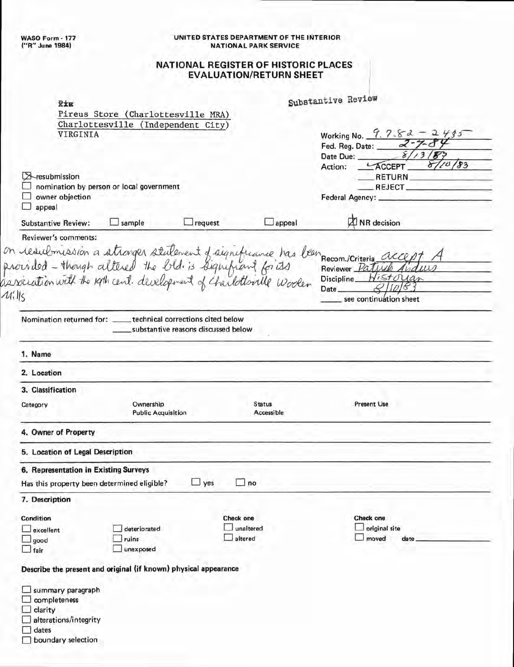#### UNITED STATES DEPARTMENT OF THE INTERIOR NATIONAL PARK SERVICE

#### **NATiONAL REGISTER OF HiSTORIC PLACES EVALUATION/RETURN SHEET**

| Rim                                                                                                                                            |                                        |                         |                             | Substantive Review                                                                                                                      |
|------------------------------------------------------------------------------------------------------------------------------------------------|----------------------------------------|-------------------------|-----------------------------|-----------------------------------------------------------------------------------------------------------------------------------------|
|                                                                                                                                                | Pireus Store (Charlottesville MRA)     |                         |                             |                                                                                                                                         |
|                                                                                                                                                | Charlottesville (Independent City)     |                         |                             |                                                                                                                                         |
| VIRGINIA                                                                                                                                       |                                        |                         |                             | Working No. 9.7-8-2 - 2435                                                                                                              |
|                                                                                                                                                |                                        |                         |                             | $\frac{2}{8}$<br>Fed. Reg. Date:                                                                                                        |
|                                                                                                                                                |                                        |                         |                             | Date Due:                                                                                                                               |
|                                                                                                                                                |                                        |                         |                             | 110/83<br>Action: LACCEPT                                                                                                               |
| $\triangleright$ -resubmission                                                                                                                 |                                        |                         |                             | RETURN                                                                                                                                  |
| nomination by person or local government<br>owner objection                                                                                    |                                        |                         |                             | REJECT_                                                                                                                                 |
| appeal                                                                                                                                         |                                        |                         |                             |                                                                                                                                         |
| <b>Substantive Review:</b>                                                                                                                     | $\Box$ sample                          | $\Box$ request          | $\Box$ appeal               | <b>Z</b> NR decision                                                                                                                    |
| Reviewer's comments:                                                                                                                           |                                        |                         |                             |                                                                                                                                         |
| 41.115                                                                                                                                         |                                        |                         |                             | on resultmission a atronger statement of aignificance has been recom. / Criteria accept<br>Historian<br>Date_<br>see continuation sheet |
| Nomination returned for: _____ technical corrections cited below                                                                               | substantive reasons discussed below    |                         |                             |                                                                                                                                         |
| 1. Name                                                                                                                                        |                                        |                         |                             |                                                                                                                                         |
| 2. Location                                                                                                                                    |                                        |                         |                             |                                                                                                                                         |
| 3. Classification                                                                                                                              |                                        |                         |                             |                                                                                                                                         |
| Category                                                                                                                                       | Ownership<br><b>Public Acquisition</b> |                         | <b>Status</b><br>Accessible | <b>Present Use</b>                                                                                                                      |
|                                                                                                                                                |                                        |                         |                             |                                                                                                                                         |
|                                                                                                                                                |                                        |                         |                             |                                                                                                                                         |
|                                                                                                                                                |                                        |                         |                             |                                                                                                                                         |
|                                                                                                                                                |                                        |                         |                             |                                                                                                                                         |
|                                                                                                                                                |                                        | $\Box$ yes<br>$\Box$ no |                             |                                                                                                                                         |
|                                                                                                                                                |                                        |                         |                             |                                                                                                                                         |
| 4. Owner of Property<br>5. Location of Legal Description                                                                                       |                                        | Check one               |                             | Check one                                                                                                                               |
| 6. Representation in Existing Surveys<br>Has this property been determined eligible?<br>7. Description<br><b>Condition</b><br>$\Box$ excellent | deteriorated                           | unaltered               |                             | $\Box$ original site                                                                                                                    |
| $\Box$ good                                                                                                                                    | ruins                                  | altered                 |                             | $\Box$ moved<br>date                                                                                                                    |
| $\exists$ fair                                                                                                                                 | unexposed                              |                         |                             |                                                                                                                                         |
|                                                                                                                                                |                                        |                         |                             |                                                                                                                                         |
| Describe the present and original (if known) physical appearance                                                                               |                                        |                         |                             |                                                                                                                                         |
| summary paragraph<br>completeness                                                                                                              |                                        |                         |                             |                                                                                                                                         |
| clarity                                                                                                                                        |                                        |                         |                             |                                                                                                                                         |
| alterations/integrity                                                                                                                          |                                        |                         |                             |                                                                                                                                         |
| dates<br>boundary selection                                                                                                                    |                                        |                         |                             |                                                                                                                                         |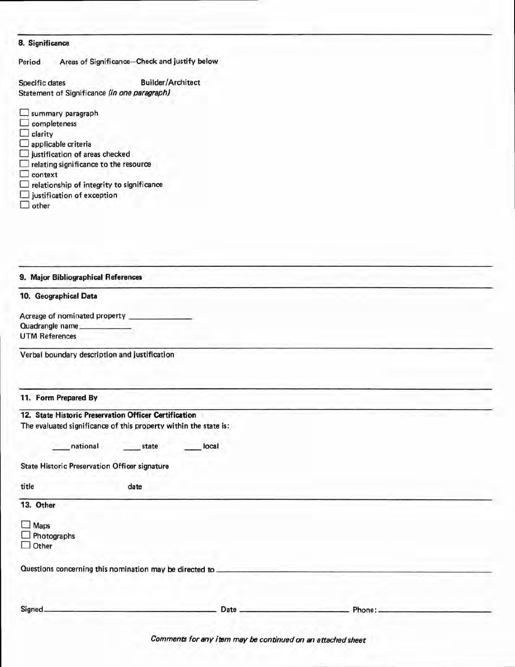#### **8. Significance**

| Period | Areas of Significance-Check and justify below |  |  |
|--------|-----------------------------------------------|--|--|
|--------|-----------------------------------------------|--|--|

Specific dates **Builder/Architect** Statement of Significance (in one paragraph)

| summary paragraph                                |
|--------------------------------------------------|
| $\Box$ completeness                              |
| $\Box$ clarity                                   |
| $\Box$ applicable criteria                       |
| $\Box$ justification of areas checked            |
| $\Box$ relating significance to the resource     |
| $\Box$ context                                   |
| $\Box$ relationship of integrity to significance |
| $\Box$ justification of exception                |
| other                                            |

| 9. Major Bibliographical References                              |       |         |
|------------------------------------------------------------------|-------|---------|
| 10. Geographical Data                                            |       |         |
| Acreage of nominated property ___________                        |       |         |
| Quadrangle name                                                  |       |         |
| <b>UTM References</b>                                            |       |         |
| Verbal boundary description and justification                    |       |         |
| 11. Form Prepared By                                             |       |         |
| 12. State Historic Preservation Officer Certification            |       |         |
| The evaluated significance of this property within the state is: |       |         |
|                                                                  |       |         |
| national<br>state                                                | local |         |
|                                                                  |       |         |
| <b>State Historic Preservation Officer signature</b>             |       |         |
| title<br>date                                                    |       |         |
|                                                                  |       |         |
| 13. Other                                                        |       |         |
| $\Box$ Maps                                                      |       |         |
| $\Box$ Photographs                                               |       |         |
| $\Box$ Other                                                     |       |         |
|                                                                  |       |         |
| Questions concerning this nomination may be directed to ________ |       |         |
|                                                                  |       |         |
| Signed.                                                          | Date  | Phone:. |

Comments for any item may be continued on an attached sheet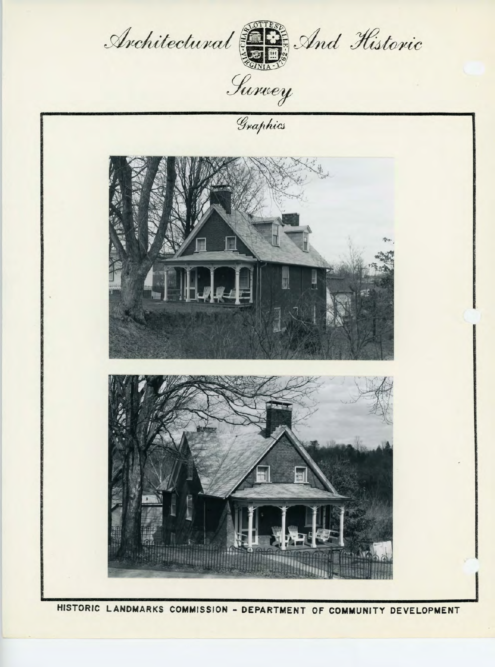